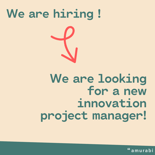### We are hiring!

We are looking for a new innovation project manager!

amurabi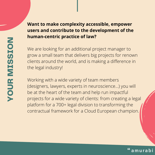#### YO $\Box$ RMI $\mathbf{O}$  $\mathbf{O}$ ION

### **Want to make complexity accessible, empower users and contribute to the development of the human-centric practice of law?**

We are looking for an additional project manager to grow a small team that delivers big projects for renown clients around the world, and is making a difference in the legal industry!

Working with a wide variety of team members (designers, lawyers, experts in neuroscience…) you will be at the heart of the team and help run impactful projects for a wide variety of clients: from creating a legal platform for a 700+ legal division to transforming the contractual framework for a Cloud European champion.

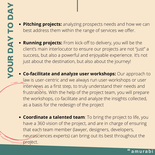- **Pitching projects:** analyzing prospects needs and how we can best address them within the range of services we offer.
- **Running projects:** From kick-off to delivery, you will be the client's main interlocutor to ensure our projects are not "just" a success, but also a powerful and enjoyable experience. It's not just about the destination, but also about the journey!
- **Co-facilitate and analyze user workshops:** Our approach to law is user-centric and we always run user-workshops or user interviews as a first step, to truly understand their needs and frustrations. With the help of the project team, you will prepare the workshops, co-facilitate and analyze the insights collected, as a basis for the redesign of the project
- **Coordinate a talented team**: To bring the project to life, you have a 360 vision of the project, and are in charge of ensuring that each team member (lawyer, designers, developers, neurosciences experts) can bring out its best throughout the project.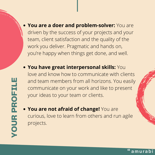**You are a doer and problem-solver:** You are driven by the success of your projects and your team, client satisfaction and the quality of the work you deliver. Pragmatic and hands on, you're happy when things get done, and well.

- **You have great interpersonal skills:** You love and know how to communicate with clients and team members from all horizons. You easily communicate on your work and like to present your ideas to your team or clients.
- **You are not afraid of change!** You are curious, love to learn from others and run agile projects.

amurabi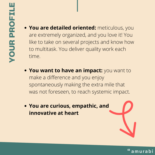- **You are detailed oriented:** meticulous, you are extremely organized, and you love it! You like to take on several projects and know how to multitask. You deliver quality work each time.
- **You want to have an impact:** you want to make a difference and you enjoy spontaneously making the extra mile that was not foreseen, to reach systemic impact.
- **You are curious, empathic, and innovative at heart**

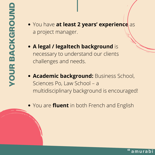You have **at least 2 years' experience** as a project manager.

**A legal / legaltech background** is necessary to understand our clients challenges and needs.

**Academic background:** Business School, Sciences Po, Law School – a multidisciplinary background is encouraged!

You are **fluent** in both French and English

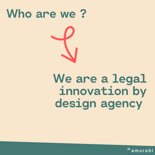### Who are we?

We are a legal innovation by design agency

"amurabi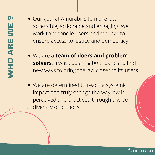- Our goal at Amurabi is to make law accessible, actionable and engaging. We work to reconcile users and the law, to ensure access to justice and democracy.
- We are a **team of doers and problemsolvers**, always pushing boundaries to find new ways to bring the law closer to its users.
- We are determined to reach a systemic impact and truly change the way law is perceived and practiced through a wide diversity of projects.

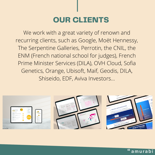### OUR CLIENTS

We work with a great variety of renown and recurring clients, such as Google, Moët Hennessy, The Serpentine Galleries, Perrotin, the CNIL, the ENM (French national school for judges), French Prime Minister Services (DILA), OVH Cloud, Sofia Genetics, Orange, Ubisoft, Maif, Geodis, DILA, Shiseido, EDF, Aviva Investors…



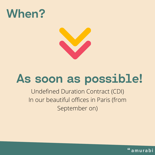



# As soon as possible!

Undefined Duration Contract (CDI) In our beautiful offices in Paris (from September on)